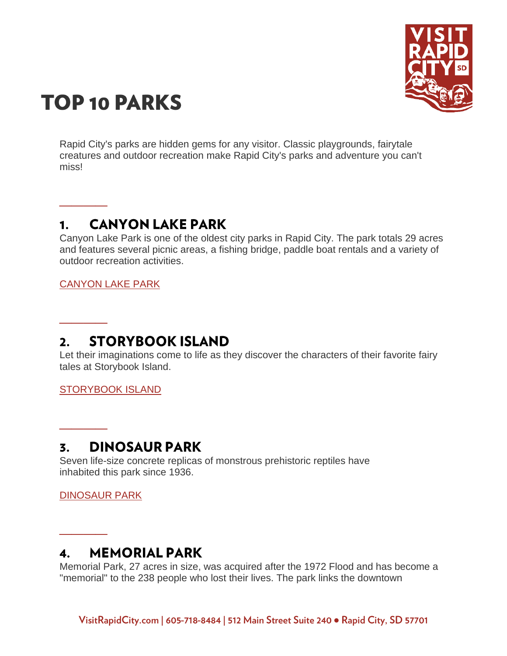

# **TOP 10 PARKS**

Rapid City's parks are hidden gems for any visitor. Classic playgrounds, fairytale creatures and outdoor recreation make Rapid City's parks and adventure you can't miss!

# **CANYON LAKE PARK**  $\mathbf 1$ .

Canyon Lake Park is one of the oldest city parks in Rapid City. The park totals 29 acres and features several picnic areas, a fishing bridge, paddle boat rentals and a variety of outdoor recreation activities.

[CANYON LAKE PARK](https://www.visitrapidcity.com/things-to-do/attractions/canyon-lake-park)

**\_\_\_\_**

**\_\_\_\_**

**\_\_\_\_**

**\_\_\_\_**

## **STORYBOOK ISLAND**  $2.$

Let their imaginations come to life as they discover the characters of their favorite fairy tales at Storybook Island.

[STORYBOOK ISLAND](https://www.visitrapidcity.com/things-to-do/attractions/storybook-island)

#### **DINOSAUR PARK**  $\overline{3}$ .

Seven life-size concrete replicas of monstrous prehistoric reptiles have inhabited this park since 1936.

[DINOSAUR PARK](https://www.visitrapidcity.com/things-to-do/attractions/dinosaur-park-gift-shop-visitors-center)

# **MEMORIAL PARK**  $\mathbf{4}$ .

Memorial Park, 27 acres in size, was acquired after the 1972 Flood and has become a "memorial" to the 238 people who lost their lives. The park links the downtown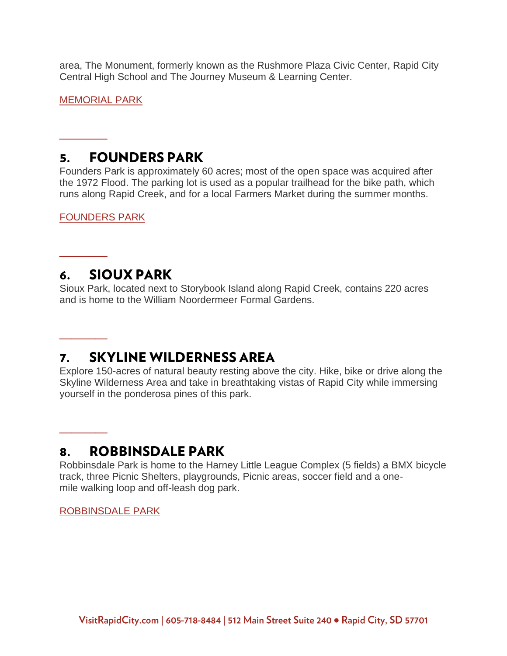area, The Monument, formerly known as the Rushmore Plaza Civic Center, Rapid City Central High School and The Journey Museum & Learning Center.

[MEMORIAL PARK](https://www.visitrapidcity.com/things-to-do/attractions/memorial-park-berlin-wall-exhibit)

**\_\_\_\_**

**\_\_\_\_**

**\_\_\_\_**

**\_\_\_\_**

## **FOUNDERS PARK** 5.

Founders Park is approximately 60 acres; most of the open space was acquired after the 1972 Flood. The parking lot is used as a popular trailhead for the bike path, which runs along Rapid Creek, and for a local Farmers Market during the summer months.

[FOUNDERS PARK](https://www.visitrapidcity.com/things-to-do/tours-historic-districts/founders-park)

#### **SIOUX PARK** 6.

Sioux Park, located next to Storybook Island along Rapid Creek, contains 220 acres and is home to the William Noordermeer Formal Gardens.

#### **SKYLINE WILDERNESS AREA** 7.

Explore 150-acres of natural beauty resting above the city. Hike, bike or drive along the Skyline Wilderness Area and take in breathtaking vistas of Rapid City while immersing yourself in the ponderosa pines of this park.

#### **ROBBINSDALE PARK** 8.

Robbinsdale Park is home to the Harney Little League Complex (5 fields) a BMX bicycle track, three Picnic Shelters, playgrounds, Picnic areas, soccer field and a onemile walking loop and off-leash dog park.

[ROBBINSDALE PARK](https://www.visitrapidcity.com/things-to-do/attractions/robbinsdale-park)